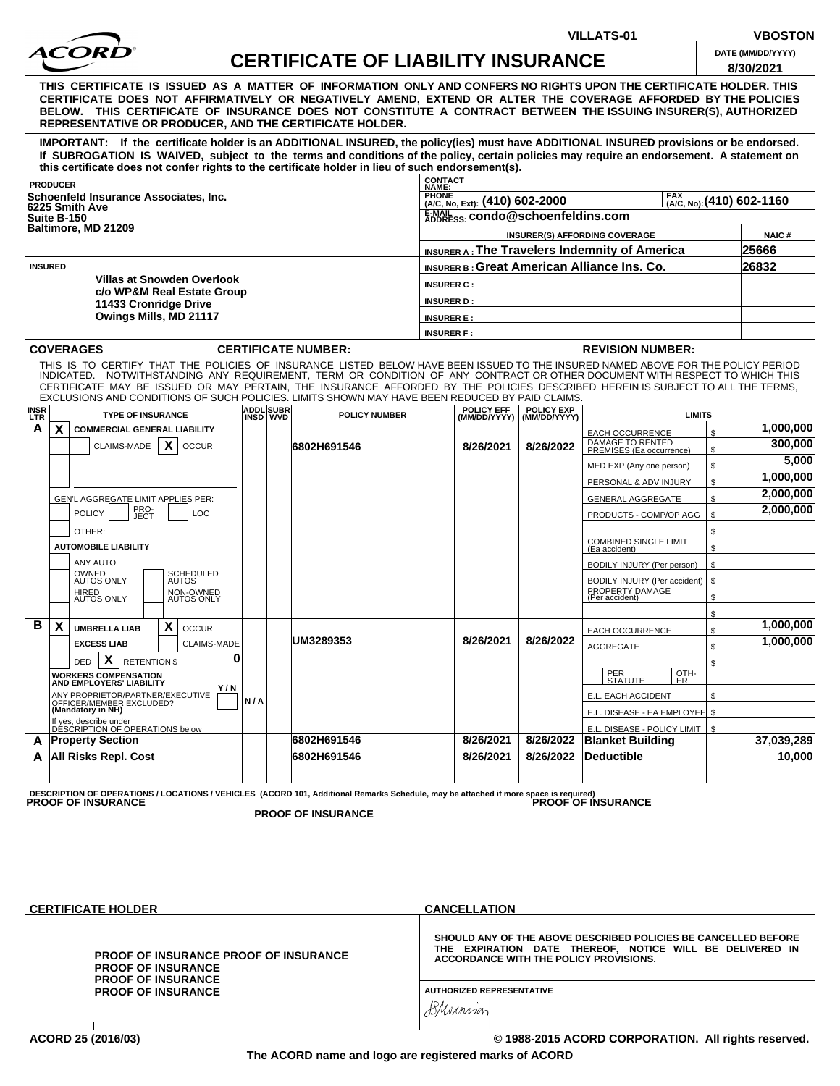

## **CERTIFICATE OF LIABILITY INSURANCE**

**VILLATS-01 VBOSTON**

| <b>DAIL</b> ( <i>WINI/DDITTT</i> ) |  |  |
|------------------------------------|--|--|
| 012012021                          |  |  |

|                                                                                                                                     |                                                                                                                                                                                                                                                                                                                                                                                                                                                                                                    |                              |                                                                                                                                                                      |                                                                                 |                                           |                   |                                                        |               | 8/30/2021    |
|-------------------------------------------------------------------------------------------------------------------------------------|----------------------------------------------------------------------------------------------------------------------------------------------------------------------------------------------------------------------------------------------------------------------------------------------------------------------------------------------------------------------------------------------------------------------------------------------------------------------------------------------------|------------------------------|----------------------------------------------------------------------------------------------------------------------------------------------------------------------|---------------------------------------------------------------------------------|-------------------------------------------|-------------------|--------------------------------------------------------|---------------|--------------|
|                                                                                                                                     | THIS  CERTIFICATE  IS  ISSUED  AS  A  MATTER  OF  INFORMATION  ONLY AND CONFERS NO RIGHTS UPON THE CERTIFICATE HOLDER. THIS<br>CERTIFICATE DOES NOT AFFIRMATIVELY OR NEGATIVELY AMEND, EXTEND OR ALTER THE COVERAGE AFFORDED BY THE POLICIES<br>BELOW. THIS CERTIFICATE OF INSURANCE DOES NOT CONSTITUTE A CONTRACT BETWEEN THE ISSUING INSURER(S), AUTHORIZED<br>REPRESENTATIVE OR PRODUCER, AND THE CERTIFICATE HOLDER.                                                                          |                              |                                                                                                                                                                      |                                                                                 |                                           |                   |                                                        |               |              |
|                                                                                                                                     | IMPORTANT: If the certificate holder is an ADDITIONAL INSURED, the policy(ies) must have ADDITIONAL INSURED provisions or be endorsed.<br>If SUBROGATION IS WAIVED, subject to the terms and conditions of the policy, certain policies may require an endorsement. A statement on<br>this certificate does not confer rights to the certificate holder in lieu of such endorsement(s).                                                                                                            |                              |                                                                                                                                                                      |                                                                                 |                                           |                   |                                                        |               |              |
|                                                                                                                                     | <b>PRODUCER</b>                                                                                                                                                                                                                                                                                                                                                                                                                                                                                    |                              |                                                                                                                                                                      | CONTACT<br>NAME:                                                                |                                           |                   |                                                        |               |              |
|                                                                                                                                     | Schoenfeld Insurance Associates, Inc.                                                                                                                                                                                                                                                                                                                                                                                                                                                              |                              |                                                                                                                                                                      | <b>PHONE</b><br>FAX (A/C, No): (410) 602-1160<br>(A/C, No, Ext): (410) 602-2000 |                                           |                   |                                                        |               |              |
|                                                                                                                                     | 6225 Smith Ave<br>Suite B-150                                                                                                                                                                                                                                                                                                                                                                                                                                                                      |                              |                                                                                                                                                                      |                                                                                 | E-MAIL ADDRESS: CONdo@schoenfeldins.com   |                   |                                                        |               |              |
|                                                                                                                                     | Baltimore, MD 21209                                                                                                                                                                                                                                                                                                                                                                                                                                                                                |                              |                                                                                                                                                                      |                                                                                 |                                           |                   | <b>INSURER(S) AFFORDING COVERAGE</b>                   |               | <b>NAIC#</b> |
|                                                                                                                                     |                                                                                                                                                                                                                                                                                                                                                                                                                                                                                                    |                              |                                                                                                                                                                      |                                                                                 |                                           |                   | INSURER A: The Travelers Indemnity of America          |               | 25666        |
| <b>INSURED</b>                                                                                                                      |                                                                                                                                                                                                                                                                                                                                                                                                                                                                                                    |                              |                                                                                                                                                                      |                                                                                 | 26832                                     |                   |                                                        |               |              |
|                                                                                                                                     | <b>Villas at Snowden Overlook</b>                                                                                                                                                                                                                                                                                                                                                                                                                                                                  |                              |                                                                                                                                                                      |                                                                                 |                                           |                   | <b>INSURER B: Great American Alliance Ins. Co.</b>     |               |              |
|                                                                                                                                     | c/o WP&M Real Estate Group                                                                                                                                                                                                                                                                                                                                                                                                                                                                         |                              |                                                                                                                                                                      | <b>INSURER C:</b>                                                               |                                           |                   |                                                        |               |              |
|                                                                                                                                     | 11433 Cronridge Drive                                                                                                                                                                                                                                                                                                                                                                                                                                                                              |                              |                                                                                                                                                                      | <b>INSURER D:</b>                                                               |                                           |                   |                                                        |               |              |
|                                                                                                                                     | Owings Mills, MD 21117                                                                                                                                                                                                                                                                                                                                                                                                                                                                             |                              |                                                                                                                                                                      | <b>INSURER E:</b>                                                               |                                           |                   |                                                        |               |              |
|                                                                                                                                     |                                                                                                                                                                                                                                                                                                                                                                                                                                                                                                    |                              |                                                                                                                                                                      | <b>INSURER F:</b>                                                               |                                           |                   |                                                        |               |              |
|                                                                                                                                     | <b>COVERAGES</b>                                                                                                                                                                                                                                                                                                                                                                                                                                                                                   |                              | <b>CERTIFICATE NUMBER:</b>                                                                                                                                           |                                                                                 |                                           |                   | <b>REVISION NUMBER:</b>                                |               |              |
|                                                                                                                                     | THIS IS TO CERTIFY THAT THE POLICIES OF INSURANCE LISTED BELOW HAVE BEEN ISSUED TO THE INSURED NAMED ABOVE FOR THE POLICY PERIOD<br>INDICATED. NOTWITHSTANDING ANY REQUIREMENT, TERM OR CONDITION OF ANY CONTRACT OR OTHER DOCUMENT WITH RESPECT TO WHICH THIS<br>CERTIFICATE MAY BE ISSUED OR MAY PERTAIN. THE INSURANCE AFFORDED BY THE POLICIES DESCRIBED HEREIN IS SUBJECT TO ALL THE TERMS.<br>EXCLUSIONS AND CONDITIONS OF SUCH POLICIES. LIMITS SHOWN MAY HAVE BEEN REDUCED BY PAID CLAIMS. |                              |                                                                                                                                                                      |                                                                                 |                                           |                   |                                                        |               |              |
| INSR<br>LTR                                                                                                                         | <b>TYPE OF INSURANCE</b>                                                                                                                                                                                                                                                                                                                                                                                                                                                                           | <b>ADDL</b> SUBR<br>INSD WVD | <b>POLICY NUMBER</b>                                                                                                                                                 |                                                                                 | POLICY EFF<br>(MM/DD/YYYY)   (MM/DD/YYYY) | <b>POLICY EXP</b> | <b>LIMITS</b>                                          |               |              |
| A                                                                                                                                   | X<br><b>COMMERCIAL GENERAL LIABILITY</b>                                                                                                                                                                                                                                                                                                                                                                                                                                                           |                              |                                                                                                                                                                      |                                                                                 |                                           |                   | EACH OCCURRENCE                                        | \$            | 1,000,000    |
|                                                                                                                                     | X<br>CLAIMS-MADE<br><b>OCCUR</b>                                                                                                                                                                                                                                                                                                                                                                                                                                                                   |                              | 6802H691546                                                                                                                                                          |                                                                                 | 8/26/2021                                 | 8/26/2022         | DAMAGE TO RENTED<br>PREMISES (Ea occurrence)           | \$            | 300,000      |
|                                                                                                                                     |                                                                                                                                                                                                                                                                                                                                                                                                                                                                                                    |                              |                                                                                                                                                                      |                                                                                 |                                           |                   | MED EXP (Any one person)                               | \$            | 5,000        |
|                                                                                                                                     |                                                                                                                                                                                                                                                                                                                                                                                                                                                                                                    |                              |                                                                                                                                                                      |                                                                                 |                                           |                   | PERSONAL & ADV INJURY                                  | \$            | 1,000,000    |
|                                                                                                                                     | GEN'L AGGREGATE LIMIT APPLIES PER:                                                                                                                                                                                                                                                                                                                                                                                                                                                                 |                              |                                                                                                                                                                      |                                                                                 |                                           |                   | <b>GENERAL AGGREGATE</b>                               | \$            | 2,000,000    |
|                                                                                                                                     | PRO-<br>JECT<br><b>POLICY</b><br>LOC                                                                                                                                                                                                                                                                                                                                                                                                                                                               |                              |                                                                                                                                                                      |                                                                                 |                                           |                   | PRODUCTS - COMP/OP AGG                                 | \$            | 2,000,000    |
|                                                                                                                                     | OTHER:                                                                                                                                                                                                                                                                                                                                                                                                                                                                                             |                              |                                                                                                                                                                      |                                                                                 |                                           |                   |                                                        | \$            |              |
|                                                                                                                                     | <b>AUTOMOBILE LIABILITY</b>                                                                                                                                                                                                                                                                                                                                                                                                                                                                        |                              |                                                                                                                                                                      |                                                                                 |                                           |                   | <b>COMBINED SINGLE LIMIT</b>                           | \$            |              |
|                                                                                                                                     | <b>ANY AUTO</b>                                                                                                                                                                                                                                                                                                                                                                                                                                                                                    |                              |                                                                                                                                                                      |                                                                                 |                                           |                   | (Ea accident)                                          | \$            |              |
|                                                                                                                                     | OWNED<br>AUTOS ONLY<br>SCHEDULED<br>AUTOS                                                                                                                                                                                                                                                                                                                                                                                                                                                          |                              |                                                                                                                                                                      |                                                                                 |                                           |                   | BODILY INJURY (Per person)                             |               |              |
|                                                                                                                                     | HIRED<br>AUTOS ONLY<br>NON-OWNED<br>AUTOS ONLY                                                                                                                                                                                                                                                                                                                                                                                                                                                     |                              |                                                                                                                                                                      |                                                                                 |                                           |                   | <b>BODILY INJURY (Per accident)</b><br>PROPERTY DAMAGE | $\mathfrak s$ |              |
|                                                                                                                                     |                                                                                                                                                                                                                                                                                                                                                                                                                                                                                                    |                              |                                                                                                                                                                      |                                                                                 |                                           |                   | (Per accident)                                         | \$            |              |
| в                                                                                                                                   | $\boldsymbol{\mathsf{X}}$<br>X<br><b>OCCUR</b>                                                                                                                                                                                                                                                                                                                                                                                                                                                     |                              |                                                                                                                                                                      |                                                                                 |                                           |                   |                                                        | \$            | 1,000,000    |
|                                                                                                                                     | <b>UMBRELLA LIAB</b><br><b>EXCESS LIAB</b>                                                                                                                                                                                                                                                                                                                                                                                                                                                         |                              | UM3289353                                                                                                                                                            |                                                                                 | 8/26/2021                                 | 8/26/2022         | EACH OCCURRENCE                                        | \$            | 1,000,000    |
|                                                                                                                                     | <b>CLAIMS-MADE</b><br>0                                                                                                                                                                                                                                                                                                                                                                                                                                                                            |                              |                                                                                                                                                                      |                                                                                 |                                           |                   | <b>AGGREGATE</b>                                       | \$            |              |
|                                                                                                                                     | X<br><b>RETENTION \$</b><br>DED                                                                                                                                                                                                                                                                                                                                                                                                                                                                    |                              |                                                                                                                                                                      |                                                                                 |                                           |                   | PER<br>OTH-                                            | \$            |              |
|                                                                                                                                     | <b>WORKERS COMPENSATION</b><br>AND EMPLOYERS' LIABILITY<br>Y/N                                                                                                                                                                                                                                                                                                                                                                                                                                     |                              |                                                                                                                                                                      |                                                                                 |                                           |                   | <u>  STATUTE  </u><br>1 ER                             |               |              |
|                                                                                                                                     | ANY PROPRIETOR/PARTNER/EXECUTIVE<br>OFFICER/MEMBER EXCLUDED?<br>(Mandatory in NH)                                                                                                                                                                                                                                                                                                                                                                                                                  | N/A                          |                                                                                                                                                                      |                                                                                 |                                           |                   | E.L. EACH ACCIDENT                                     | \$            |              |
|                                                                                                                                     |                                                                                                                                                                                                                                                                                                                                                                                                                                                                                                    |                              |                                                                                                                                                                      |                                                                                 |                                           |                   | E.L. DISEASE - EA EMPLOYEE \$                          |               |              |
|                                                                                                                                     | If yes, describe under<br>DESCRIPTION OF OPERATIONS below                                                                                                                                                                                                                                                                                                                                                                                                                                          |                              |                                                                                                                                                                      |                                                                                 |                                           |                   | E.L. DISEASE - POLICY LIMIT                            | \$            |              |
| A                                                                                                                                   | <b>Property Section</b>                                                                                                                                                                                                                                                                                                                                                                                                                                                                            |                              | 6802H691546                                                                                                                                                          |                                                                                 | 8/26/2021                                 | 8/26/2022         | <b>Blanket Building</b>                                |               | 37,039,289   |
| A                                                                                                                                   | <b>All Risks Repl. Cost</b>                                                                                                                                                                                                                                                                                                                                                                                                                                                                        |                              | 6802H691546                                                                                                                                                          |                                                                                 | 8/26/2021                                 | 8/26/2022         | <b>Deductible</b>                                      |               | 10,000       |
|                                                                                                                                     | DESCRIPTION OF OPERATIONS / LOCATIONS / VEHICLES (ACORD 101, Additional Remarks Schedule, may be attached if more space is required)<br><b>PROOF OF INSURANCE</b>                                                                                                                                                                                                                                                                                                                                  |                              | <b>PROOF OF INSURANCE</b>                                                                                                                                            |                                                                                 |                                           |                   | <b>PROOF OF INSURANCE</b>                              |               |              |
|                                                                                                                                     | <b>CERTIFICATE HOLDER</b>                                                                                                                                                                                                                                                                                                                                                                                                                                                                          |                              |                                                                                                                                                                      |                                                                                 | <b>CANCELLATION</b>                       |                   |                                                        |               |              |
| <b>PROOF OF INSURANCE PROOF OF INSURANCE</b><br><b>PROOF OF INSURANCE</b><br><b>PROOF OF INSURANCE</b><br><b>PROOF OF INSURANCE</b> |                                                                                                                                                                                                                                                                                                                                                                                                                                                                                                    |                              | SHOULD ANY OF THE ABOVE DESCRIBED POLICIES BE CANCELLED BEFORE<br>THE EXPIRATION DATE THEREOF, NOTICE WILL BE DELIVERED IN<br>ACCORDANCE WITH THE POLICY PROVISIONS. |                                                                                 |                                           |                   |                                                        |               |              |
|                                                                                                                                     |                                                                                                                                                                                                                                                                                                                                                                                                                                                                                                    |                              | <b>AUTHORIZED REPRESENTATIVE</b><br>BMonnion                                                                                                                         |                                                                                 |                                           |                   |                                                        |               |              |

**ACORD 25 (2016/03) © 1988-2015 ACORD CORPORATION. All rights reserved.**